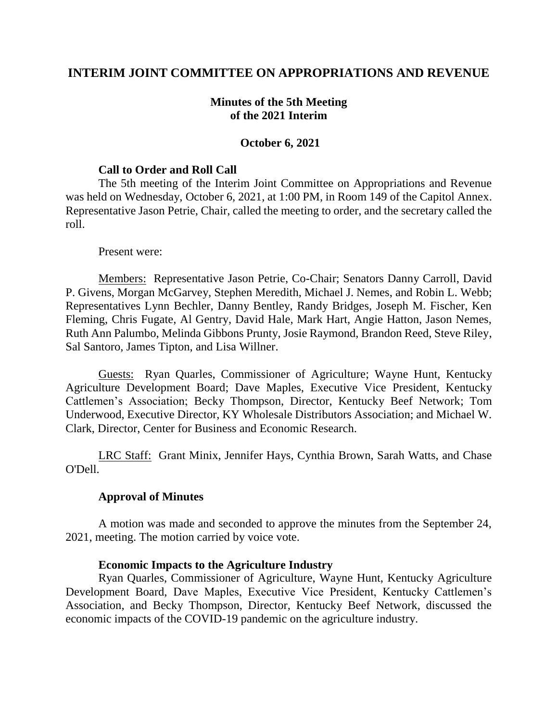# **INTERIM JOINT COMMITTEE ON APPROPRIATIONS AND REVENUE**

## **Minutes of the 5th Meeting of the 2021 Interim**

### **October 6, 2021**

### **Call to Order and Roll Call**

The 5th meeting of the Interim Joint Committee on Appropriations and Revenue was held on Wednesday, October 6, 2021, at 1:00 PM, in Room 149 of the Capitol Annex. Representative Jason Petrie, Chair, called the meeting to order, and the secretary called the roll.

#### Present were:

Members: Representative Jason Petrie, Co-Chair; Senators Danny Carroll, David P. Givens, Morgan McGarvey, Stephen Meredith, Michael J. Nemes, and Robin L. Webb; Representatives Lynn Bechler, Danny Bentley, Randy Bridges, Joseph M. Fischer, Ken Fleming, Chris Fugate, Al Gentry, David Hale, Mark Hart, Angie Hatton, Jason Nemes, Ruth Ann Palumbo, Melinda Gibbons Prunty, Josie Raymond, Brandon Reed, Steve Riley, Sal Santoro, James Tipton, and Lisa Willner.

Guests: Ryan Quarles, Commissioner of Agriculture; Wayne Hunt, Kentucky Agriculture Development Board; Dave Maples, Executive Vice President, Kentucky Cattlemen's Association; Becky Thompson, Director, Kentucky Beef Network; Tom Underwood, Executive Director, KY Wholesale Distributors Association; and Michael W. Clark, Director, Center for Business and Economic Research.

LRC Staff: Grant Minix, Jennifer Hays, Cynthia Brown, Sarah Watts, and Chase O'Dell.

### **Approval of Minutes**

A motion was made and seconded to approve the minutes from the September 24, 2021, meeting. The motion carried by voice vote.

#### **Economic Impacts to the Agriculture Industry**

Ryan Quarles, Commissioner of Agriculture, Wayne Hunt, Kentucky Agriculture Development Board, Dave Maples, Executive Vice President, Kentucky Cattlemen's Association, and Becky Thompson, Director, Kentucky Beef Network, discussed the economic impacts of the COVID-19 pandemic on the agriculture industry.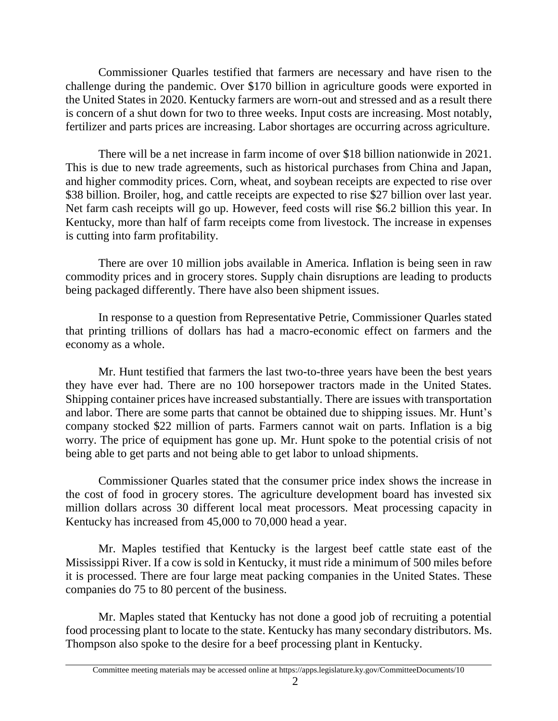Commissioner Quarles testified that farmers are necessary and have risen to the challenge during the pandemic. Over \$170 billion in agriculture goods were exported in the United States in 2020. Kentucky farmers are worn-out and stressed and as a result there is concern of a shut down for two to three weeks. Input costs are increasing. Most notably, fertilizer and parts prices are increasing. Labor shortages are occurring across agriculture.

There will be a net increase in farm income of over \$18 billion nationwide in 2021. This is due to new trade agreements, such as historical purchases from China and Japan, and higher commodity prices. Corn, wheat, and soybean receipts are expected to rise over \$38 billion. Broiler, hog, and cattle receipts are expected to rise \$27 billion over last year. Net farm cash receipts will go up. However, feed costs will rise \$6.2 billion this year. In Kentucky, more than half of farm receipts come from livestock. The increase in expenses is cutting into farm profitability.

There are over 10 million jobs available in America. Inflation is being seen in raw commodity prices and in grocery stores. Supply chain disruptions are leading to products being packaged differently. There have also been shipment issues.

In response to a question from Representative Petrie, Commissioner Quarles stated that printing trillions of dollars has had a macro-economic effect on farmers and the economy as a whole.

Mr. Hunt testified that farmers the last two-to-three years have been the best years they have ever had. There are no 100 horsepower tractors made in the United States. Shipping container prices have increased substantially. There are issues with transportation and labor. There are some parts that cannot be obtained due to shipping issues. Mr. Hunt's company stocked \$22 million of parts. Farmers cannot wait on parts. Inflation is a big worry. The price of equipment has gone up. Mr. Hunt spoke to the potential crisis of not being able to get parts and not being able to get labor to unload shipments.

Commissioner Quarles stated that the consumer price index shows the increase in the cost of food in grocery stores. The agriculture development board has invested six million dollars across 30 different local meat processors. Meat processing capacity in Kentucky has increased from 45,000 to 70,000 head a year.

Mr. Maples testified that Kentucky is the largest beef cattle state east of the Mississippi River. If a cow is sold in Kentucky, it must ride a minimum of 500 miles before it is processed. There are four large meat packing companies in the United States. These companies do 75 to 80 percent of the business.

Mr. Maples stated that Kentucky has not done a good job of recruiting a potential food processing plant to locate to the state. Kentucky has many secondary distributors. Ms. Thompson also spoke to the desire for a beef processing plant in Kentucky.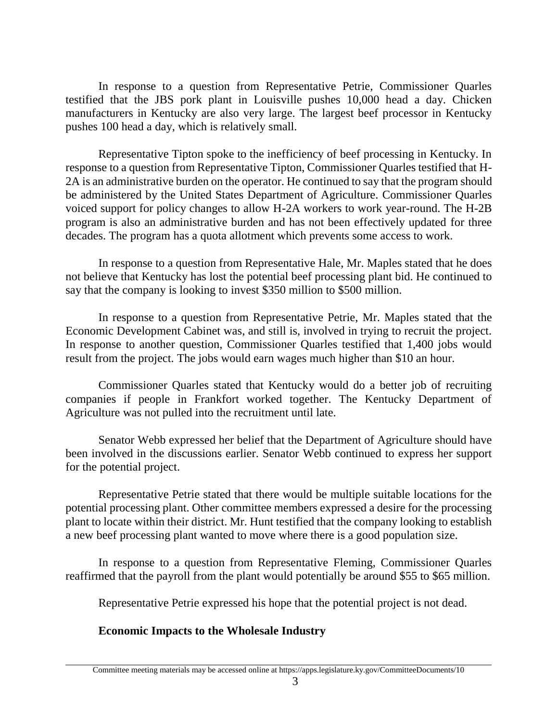In response to a question from Representative Petrie, Commissioner Quarles testified that the JBS pork plant in Louisville pushes 10,000 head a day. Chicken manufacturers in Kentucky are also very large. The largest beef processor in Kentucky pushes 100 head a day, which is relatively small.

Representative Tipton spoke to the inefficiency of beef processing in Kentucky. In response to a question from Representative Tipton, Commissioner Quarles testified that H-2A is an administrative burden on the operator. He continued to say that the program should be administered by the United States Department of Agriculture. Commissioner Quarles voiced support for policy changes to allow H-2A workers to work year-round. The H-2B program is also an administrative burden and has not been effectively updated for three decades. The program has a quota allotment which prevents some access to work.

In response to a question from Representative Hale, Mr. Maples stated that he does not believe that Kentucky has lost the potential beef processing plant bid. He continued to say that the company is looking to invest \$350 million to \$500 million.

In response to a question from Representative Petrie, Mr. Maples stated that the Economic Development Cabinet was, and still is, involved in trying to recruit the project. In response to another question, Commissioner Quarles testified that 1,400 jobs would result from the project. The jobs would earn wages much higher than \$10 an hour.

Commissioner Quarles stated that Kentucky would do a better job of recruiting companies if people in Frankfort worked together. The Kentucky Department of Agriculture was not pulled into the recruitment until late.

Senator Webb expressed her belief that the Department of Agriculture should have been involved in the discussions earlier. Senator Webb continued to express her support for the potential project.

Representative Petrie stated that there would be multiple suitable locations for the potential processing plant. Other committee members expressed a desire for the processing plant to locate within their district. Mr. Hunt testified that the company looking to establish a new beef processing plant wanted to move where there is a good population size.

In response to a question from Representative Fleming, Commissioner Quarles reaffirmed that the payroll from the plant would potentially be around \$55 to \$65 million.

Representative Petrie expressed his hope that the potential project is not dead.

# **Economic Impacts to the Wholesale Industry**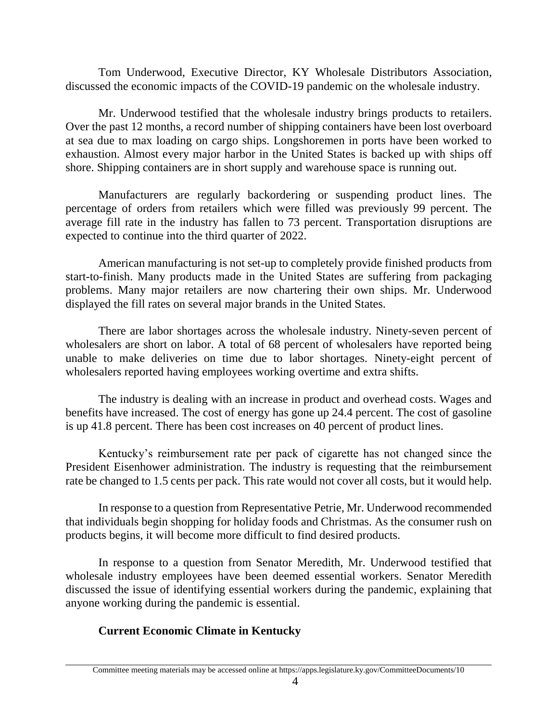Tom Underwood, Executive Director, KY Wholesale Distributors Association, discussed the economic impacts of the COVID-19 pandemic on the wholesale industry.

Mr. Underwood testified that the wholesale industry brings products to retailers. Over the past 12 months, a record number of shipping containers have been lost overboard at sea due to max loading on cargo ships. Longshoremen in ports have been worked to exhaustion. Almost every major harbor in the United States is backed up with ships off shore. Shipping containers are in short supply and warehouse space is running out.

Manufacturers are regularly backordering or suspending product lines. The percentage of orders from retailers which were filled was previously 99 percent. The average fill rate in the industry has fallen to 73 percent. Transportation disruptions are expected to continue into the third quarter of 2022.

American manufacturing is not set-up to completely provide finished products from start-to-finish. Many products made in the United States are suffering from packaging problems. Many major retailers are now chartering their own ships. Mr. Underwood displayed the fill rates on several major brands in the United States.

There are labor shortages across the wholesale industry. Ninety-seven percent of wholesalers are short on labor. A total of 68 percent of wholesalers have reported being unable to make deliveries on time due to labor shortages. Ninety-eight percent of wholesalers reported having employees working overtime and extra shifts.

The industry is dealing with an increase in product and overhead costs. Wages and benefits have increased. The cost of energy has gone up 24.4 percent. The cost of gasoline is up 41.8 percent. There has been cost increases on 40 percent of product lines.

Kentucky's reimbursement rate per pack of cigarette has not changed since the President Eisenhower administration. The industry is requesting that the reimbursement rate be changed to 1.5 cents per pack. This rate would not cover all costs, but it would help.

In response to a question from Representative Petrie, Mr. Underwood recommended that individuals begin shopping for holiday foods and Christmas. As the consumer rush on products begins, it will become more difficult to find desired products.

In response to a question from Senator Meredith, Mr. Underwood testified that wholesale industry employees have been deemed essential workers. Senator Meredith discussed the issue of identifying essential workers during the pandemic, explaining that anyone working during the pandemic is essential.

# **Current Economic Climate in Kentucky**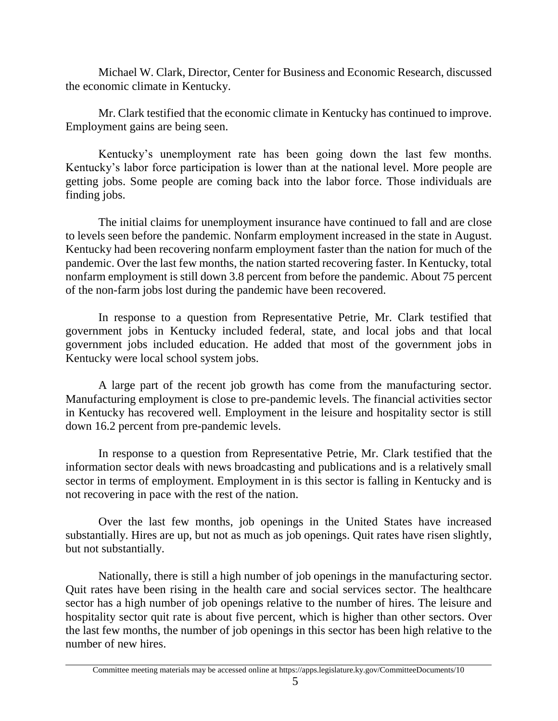Michael W. Clark, Director, Center for Business and Economic Research, discussed the economic climate in Kentucky.

Mr. Clark testified that the economic climate in Kentucky has continued to improve. Employment gains are being seen.

Kentucky's unemployment rate has been going down the last few months. Kentucky's labor force participation is lower than at the national level. More people are getting jobs. Some people are coming back into the labor force. Those individuals are finding jobs.

The initial claims for unemployment insurance have continued to fall and are close to levels seen before the pandemic. Nonfarm employment increased in the state in August. Kentucky had been recovering nonfarm employment faster than the nation for much of the pandemic. Over the last few months, the nation started recovering faster. In Kentucky, total nonfarm employment is still down 3.8 percent from before the pandemic. About 75 percent of the non-farm jobs lost during the pandemic have been recovered.

In response to a question from Representative Petrie, Mr. Clark testified that government jobs in Kentucky included federal, state, and local jobs and that local government jobs included education. He added that most of the government jobs in Kentucky were local school system jobs.

A large part of the recent job growth has come from the manufacturing sector. Manufacturing employment is close to pre-pandemic levels. The financial activities sector in Kentucky has recovered well. Employment in the leisure and hospitality sector is still down 16.2 percent from pre-pandemic levels.

In response to a question from Representative Petrie, Mr. Clark testified that the information sector deals with news broadcasting and publications and is a relatively small sector in terms of employment. Employment in is this sector is falling in Kentucky and is not recovering in pace with the rest of the nation.

Over the last few months, job openings in the United States have increased substantially. Hires are up, but not as much as job openings. Quit rates have risen slightly, but not substantially.

Nationally, there is still a high number of job openings in the manufacturing sector. Quit rates have been rising in the health care and social services sector. The healthcare sector has a high number of job openings relative to the number of hires. The leisure and hospitality sector quit rate is about five percent, which is higher than other sectors. Over the last few months, the number of job openings in this sector has been high relative to the number of new hires.

Committee meeting materials may be accessed online at https://apps.legislature.ky.gov/CommitteeDocuments/10